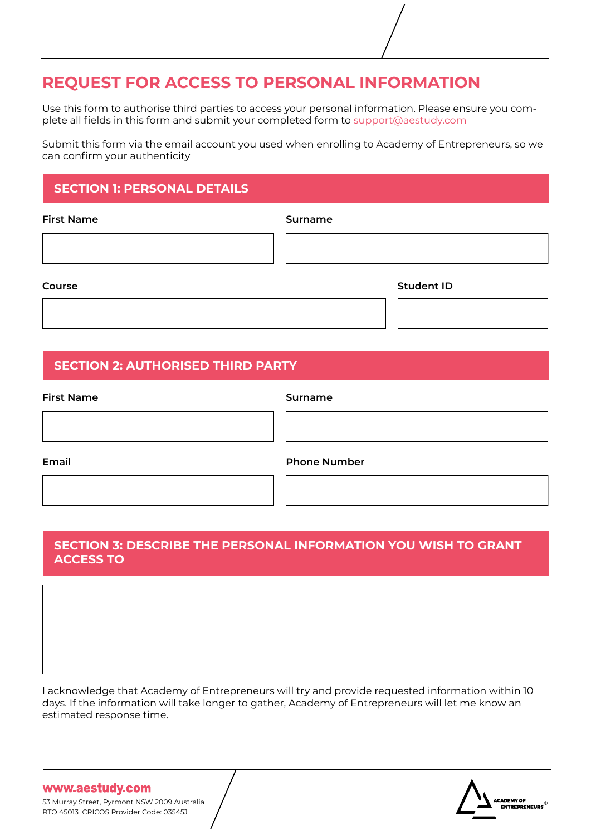# **REQUEST FOR ACCESS TO PERSONAL INFORMATION**

Use this form to authorise third parties to access your personal information. Please ensure you complete all fields in this form and submit your completed form to [support@aestudy.com](http://support@aestudy.com
)

Submit this form via the email account you used when enrolling to Academy of Entrepreneurs, so we can confirm your authenticity

### **SECTION 1: PERSONAL DETAILS**

**First Name**

**Surname**

**Course** 

**Student ID**

## **SECTION 2: AUTHORISED THIRD PARTY**

**Surname**

**Email Phone Number**

#### **SECTION 3: DESCRIBE THE PERSONAL INFORMATION YOU WISH TO GRANT ACCESS TO**

I acknowledge that Academy of Entrepreneurs will try and provide requested information within 10 days. If the information will take longer to gather, Academy of Entrepreneurs will let me know an estimated response time.

www.aestudy.com

53 Murray Street, Pyrmont NSW 2009 Australia RTO 45013 CRICOS Provider Code: 03545J